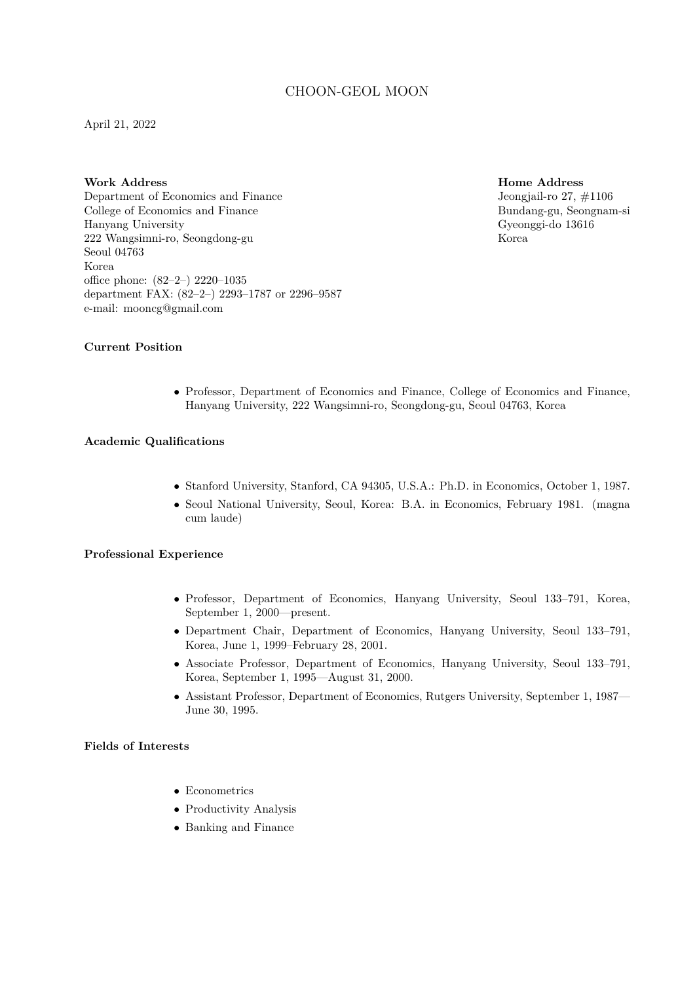# CHOON-GEOL MOON

April 21, 2022

**Work Address** Department of Economics and Finance College of Economics and Finance Hanyang University 222 Wangsimni-ro, Seongdong-gu Seoul 04763 Korea office phone: (82–2–) 2220–1035 department FAX: (82–2–) 2293–1787 or 2296–9587 e-mail: mooncg@gmail.com

**Home Address** Jeongjail-ro 27, #1106 Bundang-gu, Seongnam-si Gyeonggi-do 13616 Korea

# **Current Position**

*•* Professor, Department of Economics and Finance, College of Economics and Finance, Hanyang University, 222 Wangsimni-ro, Seongdong-gu, Seoul 04763, Korea

### **Academic Qualifications**

- *•* Stanford University, Stanford, CA 94305, U.S.A.: Ph.D. in Economics, October 1, 1987.
- *•* Seoul National University, Seoul, Korea: B.A. in Economics, February 1981. (magna cum laude)

# **Professional Experience**

- *•* Professor, Department of Economics, Hanyang University, Seoul 133–791, Korea, September 1, 2000—present.
- *•* Department Chair, Department of Economics, Hanyang University, Seoul 133–791, Korea, June 1, 1999–February 28, 2001.
- *•* Associate Professor, Department of Economics, Hanyang University, Seoul 133–791, Korea, September 1, 1995—August 31, 2000.
- *•* Assistant Professor, Department of Economics, Rutgers University, September 1, 1987— June 30, 1995.

# **Fields of Interests**

- *•* Econometrics
- *•* Productivity Analysis
- *•* Banking and Finance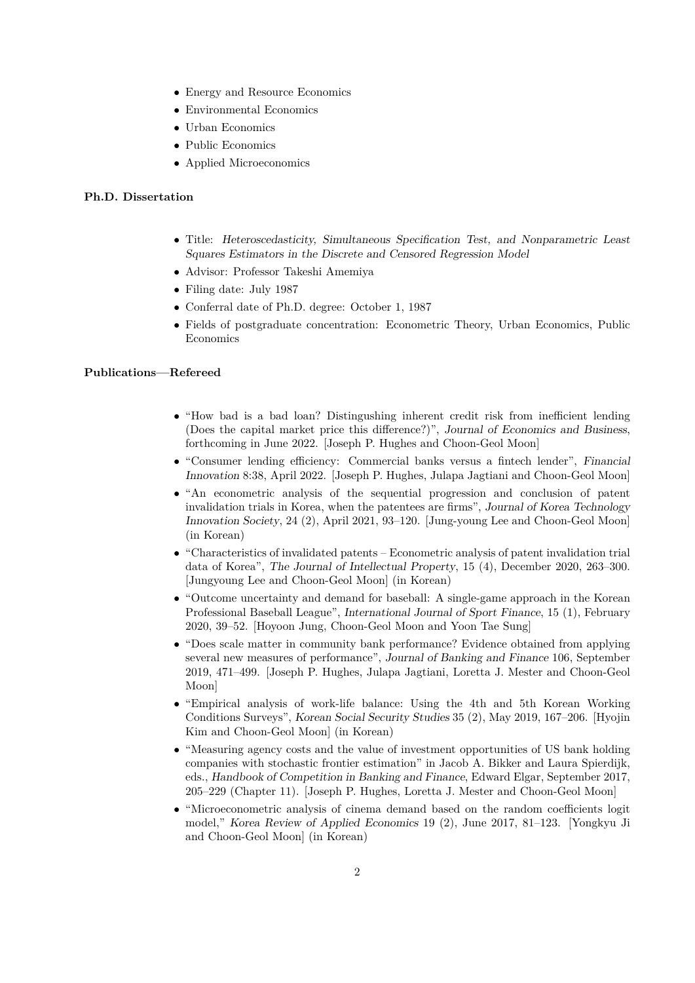- *•* Energy and Resource Economics
- *•* Environmental Economics
- *•* Urban Economics
- *•* Public Economics
- *•* Applied Microeconomics

# **Ph.D. Dissertation**

- *•* Title: *Heteroscedasticity, Simultaneous Specification Test, and Nonparametric Least Squares Estimators in the Discrete and Censored Regression Model*
- *•* Advisor: Professor Takeshi Amemiya
- *•* Filing date: July 1987
- *•* Conferral date of Ph.D. degree: October 1, 1987
- Fields of postgraduate concentration: Econometric Theory, Urban Economics, Public Economics

#### **Publications—Refereed**

- "How bad is a bad loan? Distingushing inherent credit risk from inefficient lending (Does the capital market price this difference?)", *Journal of Economics and Business*, forthcoming in June 2022. [Joseph P. Hughes and Choon-Geol Moon]
- *•* "Consumer lending efficiency: Commercial banks versus a fintech lender", *Financial Innovation* 8:38, April 2022. [Joseph P. Hughes, Julapa Jagtiani and Choon-Geol Moon]
- *•* "An econometric analysis of the sequential progression and conclusion of patent invalidation trials in Korea, when the patentees are firms", *Journal of Korea Technology Innovation Society*, 24 (2), April 2021, 93–120. [Jung-young Lee and Choon-Geol Moon] (in Korean)
- *•* "Characteristics of invalidated patents Econometric analysis of patent invalidation trial data of Korea", *The Journal of Intellectual Property*, 15 (4), December 2020, 263–300. [Jungyoung Lee and Choon-Geol Moon] (in Korean)
- *•* "Outcome uncertainty and demand for baseball: A single-game approach in the Korean Professional Baseball League", *International Journal of Sport Finance*, 15 (1), February 2020, 39–52. [Hoyoon Jung, Choon-Geol Moon and Yoon Tae Sung]
- *•* "Does scale matter in community bank performance? Evidence obtained from applying several new measures of performance", *Journal of Banking and Finance* 106, September 2019, 471–499. [Joseph P. Hughes, Julapa Jagtiani, Loretta J. Mester and Choon-Geol Moon]
- *•* "Empirical analysis of work-life balance: Using the 4th and 5th Korean Working Conditions Surveys", *Korean Social Security Studies* 35 (2), May 2019, 167–206. [Hyojin Kim and Choon-Geol Moon] (in Korean)
- "Measuring agency costs and the value of investment opportunities of US bank holding companies with stochastic frontier estimation" in Jacob A. Bikker and Laura Spierdijk, eds., *Handbook of Competition in Banking and Finance*, Edward Elgar, September 2017, 205–229 (Chapter 11). [Joseph P. Hughes, Loretta J. Mester and Choon-Geol Moon]
- "Microeconometric analysis of cinema demand based on the random coefficients logit model," *Korea Review of Applied Economics* 19 (2), June 2017, 81–123. [Yongkyu Ji and Choon-Geol Moon] (in Korean)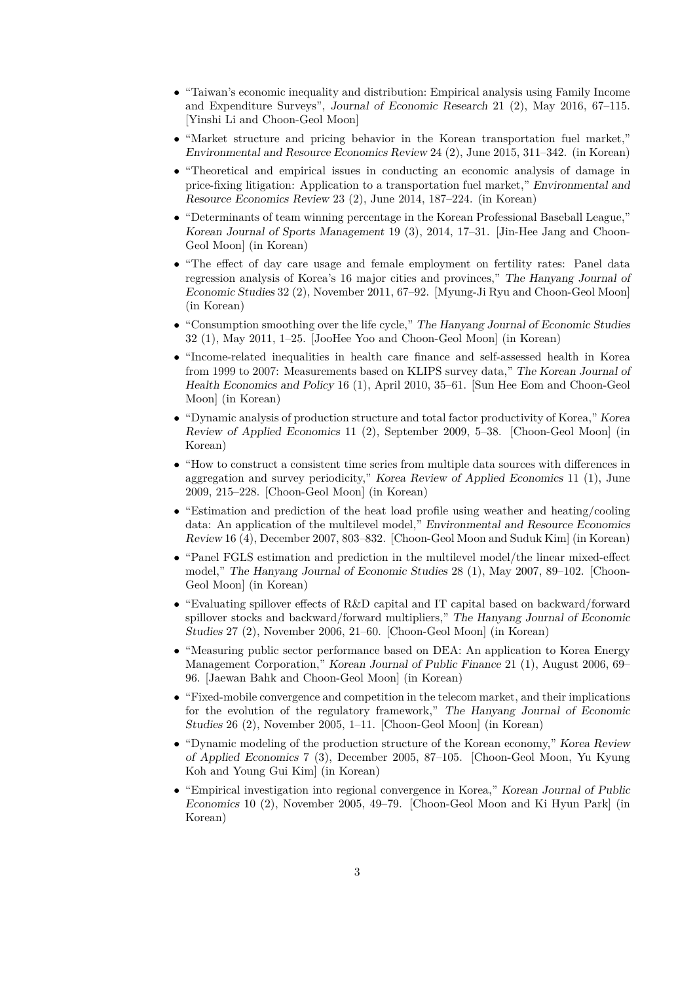- *•* "Taiwan's economic inequality and distribution: Empirical analysis using Family Income and Expenditure Surveys", *Journal of Economic Research* 21 (2), May 2016, 67–115. [Yinshi Li and Choon-Geol Moon]
- "Market structure and pricing behavior in the Korean transportation fuel market," *Environmental and Resource Economics Review* 24 (2), June 2015, 311–342. (in Korean)
- *•* "Theoretical and empirical issues in conducting an economic analysis of damage in price-fixing litigation: Application to a transportation fuel market," *Environmental and Resource Economics Review* 23 (2), June 2014, 187–224. (in Korean)
- *•* "Determinants of team winning percentage in the Korean Professional Baseball League," *Korean Journal of Sports Management* 19 (3), 2014, 17–31. [Jin-Hee Jang and Choon-Geol Moon] (in Korean)
- "The effect of day care usage and female employment on fertility rates: Panel data regression analysis of Korea's 16 major cities and provinces," *The Hanyang Journal of Economic Studies* 32 (2), November 2011, 67–92. [Myung-Ji Ryu and Choon-Geol Moon] (in Korean)
- *•* "Consumption smoothing over the life cycle," *The Hanyang Journal of Economic Studies* 32 (1), May 2011, 1–25. [JooHee Yoo and Choon-Geol Moon] (in Korean)
- *•* "Income-related inequalities in health care finance and self-assessed health in Korea from 1999 to 2007: Measurements based on KLIPS survey data," *The Korean Journal of Health Economics and Policy* 16 (1), April 2010, 35–61. [Sun Hee Eom and Choon-Geol Moon] (in Korean)
- *•* "Dynamic analysis of production structure and total factor productivity of Korea," *Korea Review of Applied Economics* 11 (2), September 2009, 5–38. [Choon-Geol Moon] (in Korean)
- "How to construct a consistent time series from multiple data sources with differences in aggregation and survey periodicity," *Korea Review of Applied Economics* 11 (1), June 2009, 215–228. [Choon-Geol Moon] (in Korean)
- "Estimation and prediction of the heat load profile using weather and heating/cooling data: An application of the multilevel model," *Environmental and Resource Economics Review* 16 (4), December 2007, 803–832. [Choon-Geol Moon and Suduk Kim] (in Korean)
- "Panel FGLS estimation and prediction in the multilevel model/the linear mixed-effect model," *The Hanyang Journal of Economic Studies* 28 (1), May 2007, 89–102. [Choon-Geol Moon] (in Korean)
- "Evaluating spillover effects of R&D capital and IT capital based on backward/forward spillover stocks and backward/forward multipliers," *The Hanyang Journal of Economic Studies* 27 (2), November 2006, 21–60. [Choon-Geol Moon] (in Korean)
- "Measuring public sector performance based on DEA: An application to Korea Energy Management Corporation," *Korean Journal of Public Finance* 21 (1), August 2006, 69– 96. [Jaewan Bahk and Choon-Geol Moon] (in Korean)
- *•* "Fixed-mobile convergence and competition in the telecom market, and their implications for the evolution of the regulatory framework," *The Hanyang Journal of Economic Studies* 26 (2), November 2005, 1–11. [Choon-Geol Moon] (in Korean)
- *•* "Dynamic modeling of the production structure of the Korean economy," *Korea Review of Applied Economics* 7 (3), December 2005, 87–105. [Choon-Geol Moon, Yu Kyung Koh and Young Gui Kim] (in Korean)
- *•* "Empirical investigation into regional convergence in Korea," *Korean Journal of Public Economics* 10 (2), November 2005, 49–79. [Choon-Geol Moon and Ki Hyun Park] (in Korean)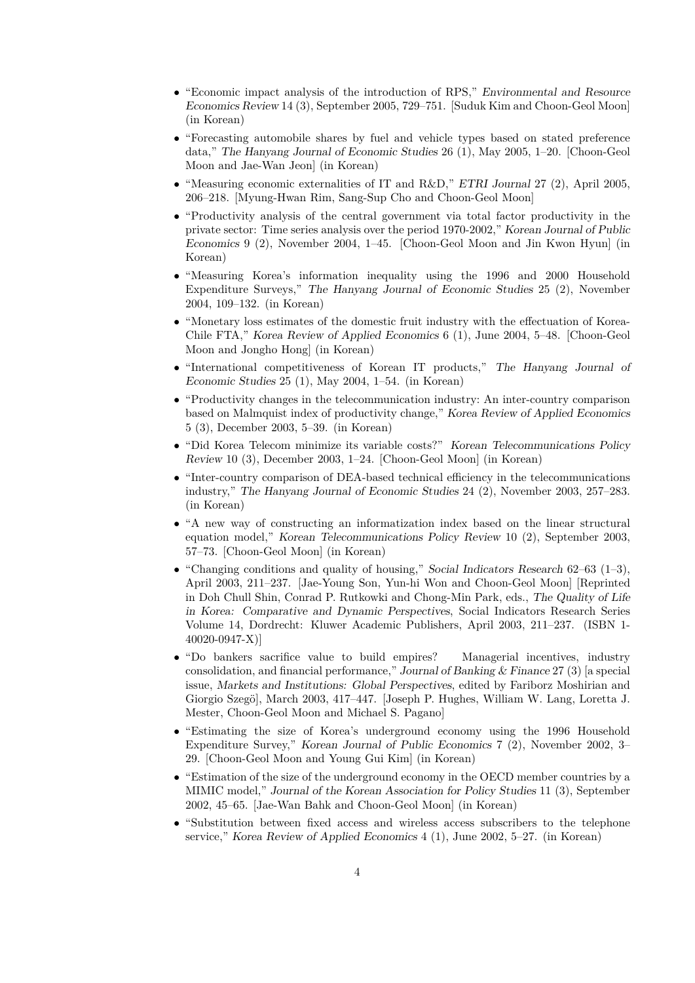- *•* "Economic impact analysis of the introduction of RPS," *Environmental and Resource Economics Review* 14 (3), September 2005, 729–751. [Suduk Kim and Choon-Geol Moon] (in Korean)
- "Forecasting automobile shares by fuel and vehicle types based on stated preference data," *The Hanyang Journal of Economic Studies* 26 (1), May 2005, 1–20. [Choon-Geol Moon and Jae-Wan Jeon] (in Korean)
- *•* "Measuring economic externalities of IT and R&D," *ETRI Journal* 27 (2), April 2005, 206–218. [Myung-Hwan Rim, Sang-Sup Cho and Choon-Geol Moon]
- "Productivity analysis of the central government via total factor productivity in the private sector: Time series analysis over the period 1970-2002," *Korean Journal of Public Economics* 9 (2), November 2004, 1–45. [Choon-Geol Moon and Jin Kwon Hyun] (in Korean)
- "Measuring Korea's information inequality using the 1996 and 2000 Household Expenditure Surveys," *The Hanyang Journal of Economic Studies* 25 (2), November 2004, 109–132. (in Korean)
- "Monetary loss estimates of the domestic fruit industry with the effectuation of Korea-Chile FTA," *Korea Review of Applied Economics* 6 (1), June 2004, 5–48. [Choon-Geol Moon and Jongho Hong] (in Korean)
- *•* "International competitiveness of Korean IT products," *The Hanyang Journal of Economic Studies* 25 (1), May 2004, 1–54. (in Korean)
- *•* "Productivity changes in the telecommunication industry: An inter-country comparison based on Malmquist index of productivity change," *Korea Review of Applied Economics* 5 (3), December 2003, 5–39. (in Korean)
- *•* "Did Korea Telecom minimize its variable costs?" *Korean Telecommunications Policy Review* 10 (3), December 2003, 1–24. [Choon-Geol Moon] (in Korean)
- *•* "Inter-country comparison of DEA-based technical efficiency in the telecommunications industry," *The Hanyang Journal of Economic Studies* 24 (2), November 2003, 257–283. (in Korean)
- *•* "A new way of constructing an informatization index based on the linear structural equation model," *Korean Telecommunications Policy Review* 10 (2), September 2003, 57–73. [Choon-Geol Moon] (in Korean)
- *•* "Changing conditions and quality of housing," *Social Indicators Research* 62–63 (1–3), April 2003, 211–237. [Jae-Young Son, Yun-hi Won and Choon-Geol Moon] [Reprinted in Doh Chull Shin, Conrad P. Rutkowki and Chong-Min Park, eds., *The Quality of Life in Korea: Comparative and Dynamic Perspectives*, Social Indicators Research Series Volume 14, Dordrecht: Kluwer Academic Publishers, April 2003, 211–237. (ISBN 1- 40020-0947-X)]
- "Do bankers sacrifice value to build empires? Managerial incentives, industry consolidation, and financial performance," *Journal of Banking & Finance* 27 (3) [a special issue, *Markets and Institutions: Global Perspectives*, edited by Fariborz Moshirian and Giorgio Szegö], March 2003, 417–447. [Joseph P. Hughes, William W. Lang, Loretta J. Mester, Choon-Geol Moon and Michael S. Pagano]
- "Estimating the size of Korea's underground economy using the 1996 Household Expenditure Survey," *Korean Journal of Public Economics* 7 (2), November 2002, 3– 29. [Choon-Geol Moon and Young Gui Kim] (in Korean)
- *•* "Estimation of the size of the underground economy in the OECD member countries by a MIMIC model," *Journal of the Korean Association for Policy Studies* 11 (3), September 2002, 45–65. [Jae-Wan Bahk and Choon-Geol Moon] (in Korean)
- "Substitution between fixed access and wireless access subscribers to the telephone service," *Korea Review of Applied Economics* 4 (1), June 2002, 5–27. (in Korean)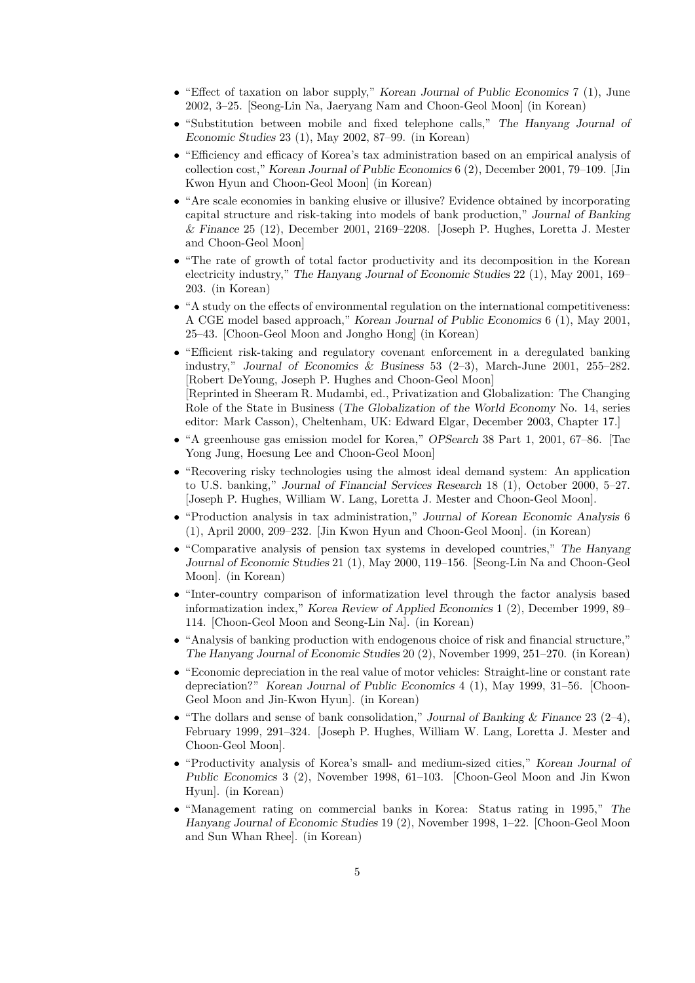- *•* "Effect of taxation on labor supply," *Korean Journal of Public Economics* 7 (1), June 2002, 3–25. [Seong-Lin Na, Jaeryang Nam and Choon-Geol Moon] (in Korean)
- *•* "Substitution between mobile and fixed telephone calls," *The Hanyang Journal of Economic Studies* 23 (1), May 2002, 87–99. (in Korean)
- "Efficiency and efficacy of Korea's tax administration based on an empirical analysis of collection cost," *Korean Journal of Public Economics* 6 (2), December 2001, 79–109. [Jin Kwon Hyun and Choon-Geol Moon] (in Korean)
- "Are scale economies in banking elusive or illusive? Evidence obtained by incorporating capital structure and risk-taking into models of bank production," *Journal of Banking & Finance* 25 (12), December 2001, 2169–2208. [Joseph P. Hughes, Loretta J. Mester and Choon-Geol Moon]
- "The rate of growth of total factor productivity and its decomposition in the Korean electricity industry," *The Hanyang Journal of Economic Studies* 22 (1), May 2001, 169– 203. (in Korean)
- "A study on the effects of environmental regulation on the international competitiveness: A CGE model based approach," *Korean Journal of Public Economics* 6 (1), May 2001, 25–43. [Choon-Geol Moon and Jongho Hong] (in Korean)
- "Efficient risk-taking and regulatory covenant enforcement in a deregulated banking industry," *Journal of Economics & Business* 53 (2–3), March-June 2001, 255–282. [Robert DeYoung, Joseph P. Hughes and Choon-Geol Moon] [Reprinted in Sheeram R. Mudambi, ed., Privatization and Globalization: The Changing Role of the State in Business (*The Globalization of the World Economy* No. 14, series editor: Mark Casson), Cheltenham, UK: Edward Elgar, December 2003, Chapter 17.]
- *•* "A greenhouse gas emission model for Korea," *OPSearch* 38 Part 1, 2001, 67–86. [Tae Yong Jung, Hoesung Lee and Choon-Geol Moon]
- "Recovering risky technologies using the almost ideal demand system: An application to U.S. banking," *Journal of Financial Services Research* 18 (1), October 2000, 5–27. [Joseph P. Hughes, William W. Lang, Loretta J. Mester and Choon-Geol Moon].
- *•* "Production analysis in tax administration," *Journal of Korean Economic Analysis* 6 (1), April 2000, 209–232. [Jin Kwon Hyun and Choon-Geol Moon]. (in Korean)
- *•* "Comparative analysis of pension tax systems in developed countries," *The Hanyang Journal of Economic Studies* 21 (1), May 2000, 119–156. [Seong-Lin Na and Choon-Geol Moon]. (in Korean)
- "Inter-country comparison of informatization level through the factor analysis based informatization index," *Korea Review of Applied Economics* 1 (2), December 1999, 89– 114. [Choon-Geol Moon and Seong-Lin Na]. (in Korean)
- *•* "Analysis of banking production with endogenous choice of risk and financial structure," *The Hanyang Journal of Economic Studies* 20 (2), November 1999, 251–270. (in Korean)
- "Economic depreciation in the real value of motor vehicles: Straight-line or constant rate depreciation?" *Korean Journal of Public Economics* 4 (1), May 1999, 31–56. [Choon-Geol Moon and Jin-Kwon Hyun]. (in Korean)
- *•* "The dollars and sense of bank consolidation," *Journal of Banking & Finance* 23 (2–4), February 1999, 291–324. [Joseph P. Hughes, William W. Lang, Loretta J. Mester and Choon-Geol Moon].
- *•* "Productivity analysis of Korea's small- and medium-sized cities," *Korean Journal of Public Economics* 3 (2), November 1998, 61–103. [Choon-Geol Moon and Jin Kwon Hyun]. (in Korean)
- *•* "Management rating on commercial banks in Korea: Status rating in 1995," *The Hanyang Journal of Economic Studies* 19 (2), November 1998, 1–22. [Choon-Geol Moon and Sun Whan Rhee]. (in Korean)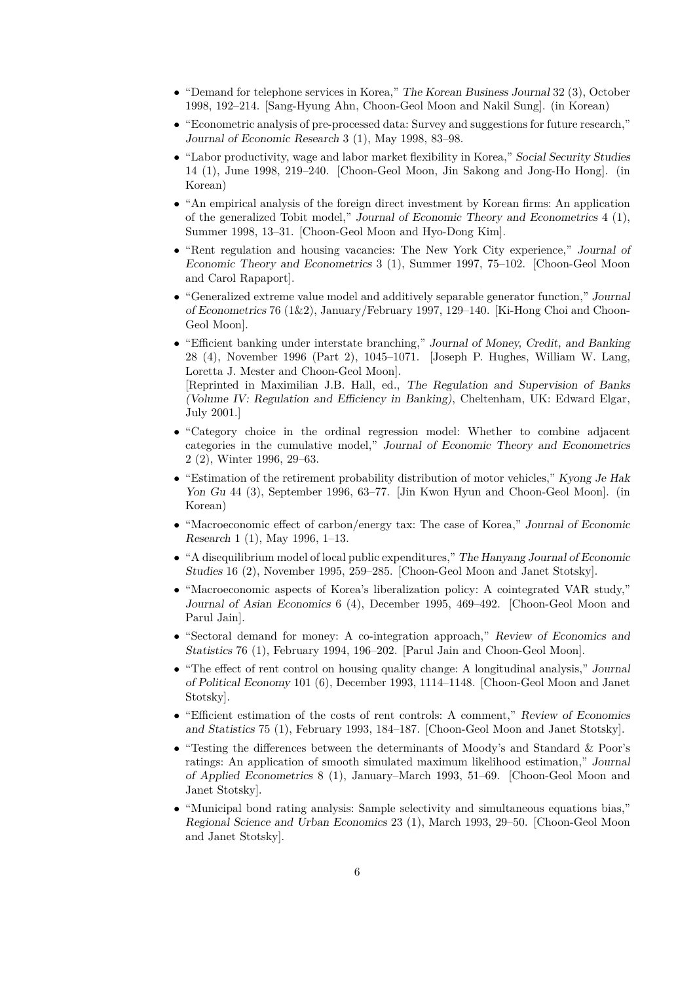- *•* "Demand for telephone services in Korea," *The Korean Business Journal* 32 (3), October 1998, 192–214. [Sang-Hyung Ahn, Choon-Geol Moon and Nakil Sung]. (in Korean)
- "Econometric analysis of pre-processed data: Survey and suggestions for future research," *Journal of Economic Research* 3 (1), May 1998, 83–98.
- *•* "Labor productivity, wage and labor market flexibility in Korea," *Social Security Studies* 14 (1), June 1998, 219–240. [Choon-Geol Moon, Jin Sakong and Jong-Ho Hong]. (in Korean)
- "An empirical analysis of the foreign direct investment by Korean firms: An application of the generalized Tobit model," *Journal of Economic Theory and Econometrics* 4 (1), Summer 1998, 13–31. [Choon-Geol Moon and Hyo-Dong Kim].
- *•* "Rent regulation and housing vacancies: The New York City experience," *Journal of Economic Theory and Econometrics* 3 (1), Summer 1997, 75–102. [Choon-Geol Moon and Carol Rapaport].
- *•* "Generalized extreme value model and additively separable generator function," *Journal of Econometrics* 76 (1&2), January/February 1997, 129–140. [Ki-Hong Choi and Choon-Geol Moon].
- *•* "Efficient banking under interstate branching," *Journal of Money, Credit, and Banking* 28 (4), November 1996 (Part 2), 1045–1071. [Joseph P. Hughes, William W. Lang, Loretta J. Mester and Choon-Geol Moon]. [Reprinted in Maximilian J.B. Hall, ed., *The Regulation and Supervision of Banks (Volume IV: Regulation and Efficiency in Banking)*, Cheltenham, UK: Edward Elgar, July 2001.]
- "Category choice in the ordinal regression model: Whether to combine adjacent categories in the cumulative model," *Journal of Economic Theory and Econometrics* 2 (2), Winter 1996, 29–63.
- *•* "Estimation of the retirement probability distribution of motor vehicles," *Kyong Je Hak Yon Gu* 44 (3), September 1996, 63–77. [Jin Kwon Hyun and Choon-Geol Moon]. (in Korean)
- *•* "Macroeconomic effect of carbon/energy tax: The case of Korea," *Journal of Economic Research* 1 (1), May 1996, 1–13.
- *•* "A disequilibrium model of local public expenditures," *The Hanyang Journal of Economic Studies* 16 (2), November 1995, 259–285. [Choon-Geol Moon and Janet Stotsky].
- "Macroeconomic aspects of Korea's liberalization policy: A cointegrated VAR study," *Journal of Asian Economics* 6 (4), December 1995, 469–492. [Choon-Geol Moon and Parul Jain].
- *•* "Sectoral demand for money: A co-integration approach," *Review of Economics and Statistics* 76 (1), February 1994, 196–202. [Parul Jain and Choon-Geol Moon].
- *•* "The effect of rent control on housing quality change: A longitudinal analysis," *Journal of Political Economy* 101 (6), December 1993, 1114–1148. [Choon-Geol Moon and Janet Stotsky].
- *•* "Efficient estimation of the costs of rent controls: A comment," *Review of Economics and Statistics* 75 (1), February 1993, 184–187. [Choon-Geol Moon and Janet Stotsky].
- *•* "Testing the differences between the determinants of Moody's and Standard & Poor's ratings: An application of smooth simulated maximum likelihood estimation," *Journal of Applied Econometrics* 8 (1), January–March 1993, 51–69. [Choon-Geol Moon and Janet Stotsky].
- *•* "Municipal bond rating analysis: Sample selectivity and simultaneous equations bias," *Regional Science and Urban Economics* 23 (1), March 1993, 29–50. [Choon-Geol Moon and Janet Stotsky].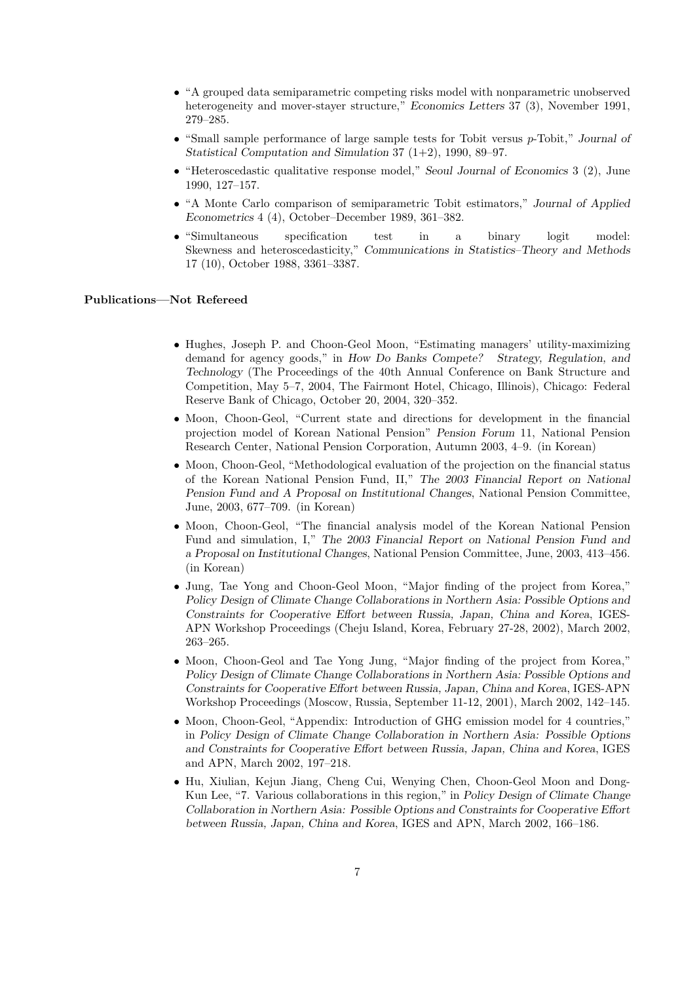- "A grouped data semiparametric competing risks model with nonparametric unobserved heterogeneity and mover-stayer structure," *Economics Letters* 37 (3), November 1991, 279–285.
- *•* "Small sample performance of large sample tests for Tobit versus *p*-Tobit," *Journal of Statistical Computation and Simulation* 37 (1+2), 1990, 89–97.
- *•* "Heteroscedastic qualitative response model," *Seoul Journal of Economics* 3 (2), June 1990, 127–157.
- *•* "A Monte Carlo comparison of semiparametric Tobit estimators," *Journal of Applied Econometrics* 4 (4), October–December 1989, 361–382.
- "Simultaneous specification test in a binary logit model: Skewness and heteroscedasticity," *Communications in Statistics–Theory and Methods* 17 (10), October 1988, 3361–3387.

# **Publications—Not Refereed**

- Hughes, Joseph P. and Choon-Geol Moon, "Estimating managers' utility-maximizing demand for agency goods," in *How Do Banks Compete? Strategy, Regulation, and Technology* (The Proceedings of the 40th Annual Conference on Bank Structure and Competition, May 5–7, 2004, The Fairmont Hotel, Chicago, Illinois), Chicago: Federal Reserve Bank of Chicago, October 20, 2004, 320–352.
- Moon, Choon-Geol, "Current state and directions for development in the financial projection model of Korean National Pension" *Pension Forum* 11, National Pension Research Center, National Pension Corporation, Autumn 2003, 4–9. (in Korean)
- Moon, Choon-Geol, "Methodological evaluation of the projection on the financial status of the Korean National Pension Fund, II," *The 2003 Financial Report on National Pension Fund and A Proposal on Institutional Changes*, National Pension Committee, June, 2003, 677–709. (in Korean)
- *•* Moon, Choon-Geol, "The financial analysis model of the Korean National Pension Fund and simulation, I," *The 2003 Financial Report on National Pension Fund and a Proposal on Institutional Changes*, National Pension Committee, June, 2003, 413–456. (in Korean)
- *•* Jung, Tae Yong and Choon-Geol Moon, "Major finding of the project from Korea," *Policy Design of Climate Change Collaborations in Northern Asia: Possible Options and Constraints for Cooperative Effort between Russia, Japan, China and Korea*, IGES-APN Workshop Proceedings (Cheju Island, Korea, February 27-28, 2002), March 2002, 263–265.
- Moon, Choon-Geol and Tae Yong Jung, "Major finding of the project from Korea," *Policy Design of Climate Change Collaborations in Northern Asia: Possible Options and Constraints for Cooperative Effort between Russia, Japan, China and Korea*, IGES-APN Workshop Proceedings (Moscow, Russia, September 11-12, 2001), March 2002, 142–145.
- *•* Moon, Choon-Geol, "Appendix: Introduction of GHG emission model for 4 countries," in *Policy Design of Climate Change Collaboration in Northern Asia: Possible Options and Constraints for Cooperative Effort between Russia, Japan, China and Korea*, IGES and APN, March 2002, 197–218.
- *•* Hu, Xiulian, Kejun Jiang, Cheng Cui, Wenying Chen, Choon-Geol Moon and Dong-Kun Lee, "7. Various collaborations in this region," in *Policy Design of Climate Change Collaboration in Northern Asia: Possible Options and Constraints for Cooperative Effort between Russia, Japan, China and Korea*, IGES and APN, March 2002, 166–186.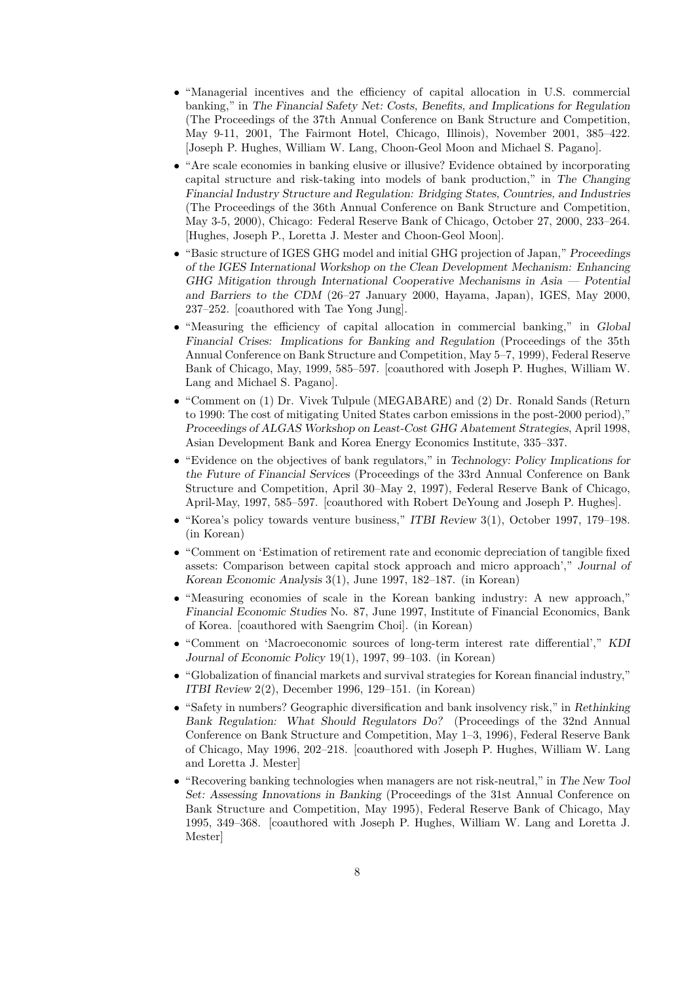- "Managerial incentives and the efficiency of capital allocation in U.S. commercial banking," in *The Financial Safety Net: Costs, Benefits, and Implications for Regulation* (The Proceedings of the 37th Annual Conference on Bank Structure and Competition, May 9-11, 2001, The Fairmont Hotel, Chicago, Illinois), November 2001, 385–422. [Joseph P. Hughes, William W. Lang, Choon-Geol Moon and Michael S. Pagano].
- "Are scale economies in banking elusive or illusive? Evidence obtained by incorporating capital structure and risk-taking into models of bank production," in *The Changing Financial Industry Structure and Regulation: Bridging States, Countries, and Industries* (The Proceedings of the 36th Annual Conference on Bank Structure and Competition, May 3-5, 2000), Chicago: Federal Reserve Bank of Chicago, October 27, 2000, 233–264. [Hughes, Joseph P., Loretta J. Mester and Choon-Geol Moon].
- *•* "Basic structure of IGES GHG model and initial GHG projection of Japan," *Proceedings of the IGES International Workshop on the Clean Development Mechanism: Enhancing GHG Mitigation through International Cooperative Mechanisms in Asia — Potential and Barriers to the CDM* (26–27 January 2000, Hayama, Japan), IGES, May 2000, 237–252. [coauthored with Tae Yong Jung].
- *•* "Measuring the efficiency of capital allocation in commercial banking," in *Global Financial Crises: Implications for Banking and Regulation* (Proceedings of the 35th Annual Conference on Bank Structure and Competition, May 5–7, 1999), Federal Reserve Bank of Chicago, May, 1999, 585–597. [coauthored with Joseph P. Hughes, William W. Lang and Michael S. Pagano].
- *•* "Comment on (1) Dr. Vivek Tulpule (MEGABARE) and (2) Dr. Ronald Sands (Return to 1990: The cost of mitigating United States carbon emissions in the post-2000 period)," *Proceedings of ALGAS Workshop on Least-Cost GHG Abatement Strategies*, April 1998, Asian Development Bank and Korea Energy Economics Institute, 335–337.
- *•* "Evidence on the objectives of bank regulators," in *Technology: Policy Implications for the Future of Financial Services* (Proceedings of the 33rd Annual Conference on Bank Structure and Competition, April 30–May 2, 1997), Federal Reserve Bank of Chicago, April-May, 1997, 585–597. [coauthored with Robert DeYoung and Joseph P. Hughes].
- *•* "Korea's policy towards venture business," *ITBI Review* 3(1), October 1997, 179–198. (in Korean)
- *•* "Comment on 'Estimation of retirement rate and economic depreciation of tangible fixed assets: Comparison between capital stock approach and micro approach'," *Journal of Korean Economic Analysis* 3(1), June 1997, 182–187. (in Korean)
- *•* "Measuring economies of scale in the Korean banking industry: A new approach," *Financial Economic Studies* No. 87, June 1997, Institute of Financial Economics, Bank of Korea. [coauthored with Saengrim Choi]. (in Korean)
- *•* "Comment on 'Macroeconomic sources of long-term interest rate differential'," *KDI Journal of Economic Policy* 19(1), 1997, 99–103. (in Korean)
- *•* "Globalization of financial markets and survival strategies for Korean financial industry," *ITBI Review* 2(2), December 1996, 129–151. (in Korean)
- *•* "Safety in numbers? Geographic diversification and bank insolvency risk," in *Rethinking Bank Regulation: What Should Regulators Do?* (Proceedings of the 32nd Annual Conference on Bank Structure and Competition, May 1–3, 1996), Federal Reserve Bank of Chicago, May 1996, 202–218. [coauthored with Joseph P. Hughes, William W. Lang and Loretta J. Mester]
- *•* "Recovering banking technologies when managers are not risk-neutral," in *The New Tool Set: Assessing Innovations in Banking* (Proceedings of the 31st Annual Conference on Bank Structure and Competition, May 1995), Federal Reserve Bank of Chicago, May 1995, 349–368. [coauthored with Joseph P. Hughes, William W. Lang and Loretta J. Mester]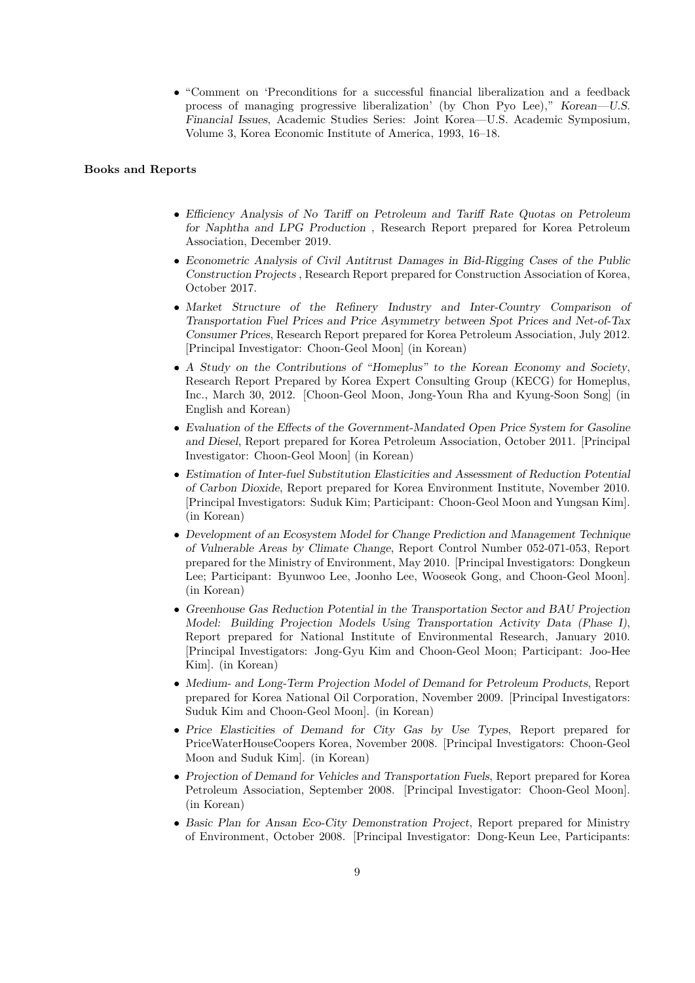• "Comment on 'Preconditions for a successful financial liberalization and a feedback process of managing progressive liberalization' (by Chon Pyo Lee)," *Korean—U.S. Financial Issues*, Academic Studies Series: Joint Korea—U.S. Academic Symposium, Volume 3, Korea Economic Institute of America, 1993, 16–18.

#### **Books and Reports**

- *• Efficiency Analysis of No Tariff on Petroleum and Tariff Rate Quotas on Petroleum for Naphtha and LPG Production* , Research Report prepared for Korea Petroleum Association, December 2019.
- *• Econometric Analysis of Civil Antitrust Damages in Bid-Rigging Cases of the Public Construction Projects* , Research Report prepared for Construction Association of Korea, October 2017.
- *• Market Structure of the Refinery Industry and Inter-Country Comparison of Transportation Fuel Prices and Price Asymmetry between Spot Prices and Net-of-Tax Consumer Prices*, Research Report prepared for Korea Petroleum Association, July 2012. [Principal Investigator: Choon-Geol Moon] (in Korean)
- *• A Study on the Contributions of "Homeplus" to the Korean Economy and Society*, Research Report Prepared by Korea Expert Consulting Group (KECG) for Homeplus, Inc., March 30, 2012. [Choon-Geol Moon, Jong-Youn Rha and Kyung-Soon Song] (in English and Korean)
- *• Evaluation of the Effects of the Government-Mandated Open Price System for Gasoline and Diesel*, Report prepared for Korea Petroleum Association, October 2011. [Principal Investigator: Choon-Geol Moon] (in Korean)
- *• Estimation of Inter-fuel Substitution Elasticities and Assessment of Reduction Potential of Carbon Dioxide*, Report prepared for Korea Environment Institute, November 2010. [Principal Investigators: Suduk Kim; Participant: Choon-Geol Moon and Yungsan Kim]. (in Korean)
- *• Development of an Ecosystem Model for Change Prediction and Management Technique of Vulnerable Areas by Climate Change*, Report Control Number 052-071-053, Report prepared for the Ministry of Environment, May 2010. [Principal Investigators: Dongkeun Lee; Participant: Byunwoo Lee, Joonho Lee, Wooseok Gong, and Choon-Geol Moon]. (in Korean)
- *• Greenhouse Gas Reduction Potential in the Transportation Sector and BAU Projection Model: Building Projection Models Using Transportation Activity Data (Phase I)*, Report prepared for National Institute of Environmental Research, January 2010. [Principal Investigators: Jong-Gyu Kim and Choon-Geol Moon; Participant: Joo-Hee Kim]. (in Korean)
- *• Medium- and Long-Term Projection Model of Demand for Petroleum Products*, Report prepared for Korea National Oil Corporation, November 2009. [Principal Investigators: Suduk Kim and Choon-Geol Moon]. (in Korean)
- *• Price Elasticities of Demand for City Gas by Use Types*, Report prepared for PriceWaterHouseCoopers Korea, November 2008. [Principal Investigators: Choon-Geol Moon and Suduk Kim]. (in Korean)
- *Projection of Demand for Vehicles and Transportation Fuels*, Report prepared for Korea Petroleum Association, September 2008. [Principal Investigator: Choon-Geol Moon]. (in Korean)
- *• Basic Plan for Ansan Eco-City Demonstration Project*, Report prepared for Ministry of Environment, October 2008. [Principal Investigator: Dong-Keun Lee, Participants: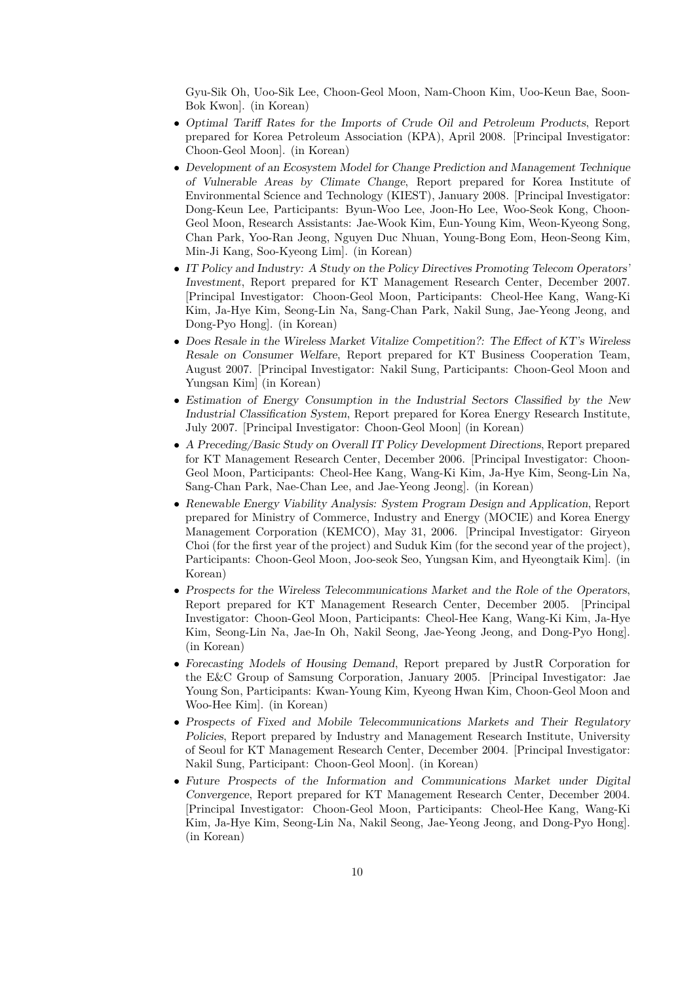Gyu-Sik Oh, Uoo-Sik Lee, Choon-Geol Moon, Nam-Choon Kim, Uoo-Keun Bae, Soon-Bok Kwon]. (in Korean)

- *• Optimal Tariff Rates for the Imports of Crude Oil and Petroleum Products*, Report prepared for Korea Petroleum Association (KPA), April 2008. [Principal Investigator: Choon-Geol Moon]. (in Korean)
- *• Development of an Ecosystem Model for Change Prediction and Management Technique of Vulnerable Areas by Climate Change*, Report prepared for Korea Institute of Environmental Science and Technology (KIEST), January 2008. [Principal Investigator: Dong-Keun Lee, Participants: Byun-Woo Lee, Joon-Ho Lee, Woo-Seok Kong, Choon-Geol Moon, Research Assistants: Jae-Wook Kim, Eun-Young Kim, Weon-Kyeong Song, Chan Park, Yoo-Ran Jeong, Nguyen Duc Nhuan, Young-Bong Eom, Heon-Seong Kim, Min-Ji Kang, Soo-Kyeong Lim]. (in Korean)
- *• IT Policy and Industry: A Study on the Policy Directives Promoting Telecom Operators' Investment*, Report prepared for KT Management Research Center, December 2007. [Principal Investigator: Choon-Geol Moon, Participants: Cheol-Hee Kang, Wang-Ki Kim, Ja-Hye Kim, Seong-Lin Na, Sang-Chan Park, Nakil Sung, Jae-Yeong Jeong, and Dong-Pyo Hong]. (in Korean)
- *• Does Resale in the Wireless Market Vitalize Competition?: The Effect of KT's Wireless Resale on Consumer Welfare*, Report prepared for KT Business Cooperation Team, August 2007. [Principal Investigator: Nakil Sung, Participants: Choon-Geol Moon and Yungsan Kim] (in Korean)
- *• Estimation of Energy Consumption in the Industrial Sectors Classified by the New Industrial Classification System*, Report prepared for Korea Energy Research Institute, July 2007. [Principal Investigator: Choon-Geol Moon] (in Korean)
- *• A Preceding/Basic Study on Overall IT Policy Development Directions*, Report prepared for KT Management Research Center, December 2006. [Principal Investigator: Choon-Geol Moon, Participants: Cheol-Hee Kang, Wang-Ki Kim, Ja-Hye Kim, Seong-Lin Na, Sang-Chan Park, Nae-Chan Lee, and Jae-Yeong Jeong]. (in Korean)
- *• Renewable Energy Viability Analysis: System Program Design and Application*, Report prepared for Ministry of Commerce, Industry and Energy (MOCIE) and Korea Energy Management Corporation (KEMCO), May 31, 2006. [Principal Investigator: Giryeon Choi (for the first year of the project) and Suduk Kim (for the second year of the project), Participants: Choon-Geol Moon, Joo-seok Seo, Yungsan Kim, and Hyeongtaik Kim]. (in Korean)
- *• Prospects for the Wireless Telecommunications Market and the Role of the Operators*, Report prepared for KT Management Research Center, December 2005. [Principal Investigator: Choon-Geol Moon, Participants: Cheol-Hee Kang, Wang-Ki Kim, Ja-Hye Kim, Seong-Lin Na, Jae-In Oh, Nakil Seong, Jae-Yeong Jeong, and Dong-Pyo Hong]. (in Korean)
- *• Forecasting Models of Housing Demand*, Report prepared by JustR Corporation for the E&C Group of Samsung Corporation, January 2005. [Principal Investigator: Jae Young Son, Participants: Kwan-Young Kim, Kyeong Hwan Kim, Choon-Geol Moon and Woo-Hee Kim]. (in Korean)
- *• Prospects of Fixed and Mobile Telecommunications Markets and Their Regulatory Policies*, Report prepared by Industry and Management Research Institute, University of Seoul for KT Management Research Center, December 2004. [Principal Investigator: Nakil Sung, Participant: Choon-Geol Moon]. (in Korean)
- *• Future Prospects of the Information and Communications Market under Digital Convergence*, Report prepared for KT Management Research Center, December 2004. [Principal Investigator: Choon-Geol Moon, Participants: Cheol-Hee Kang, Wang-Ki Kim, Ja-Hye Kim, Seong-Lin Na, Nakil Seong, Jae-Yeong Jeong, and Dong-Pyo Hong]. (in Korean)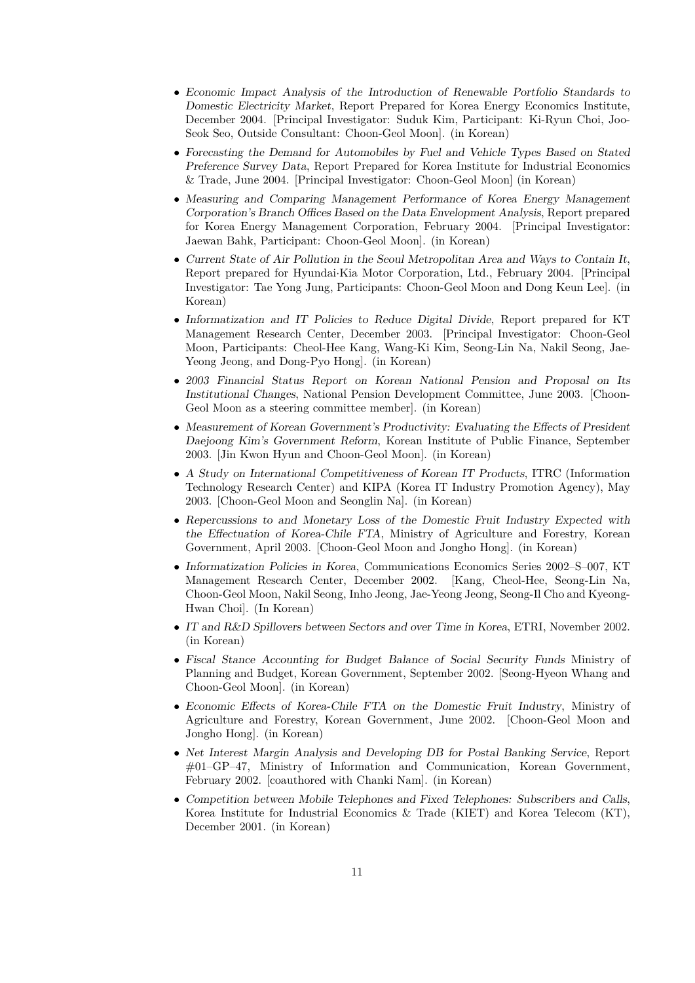- *• Economic Impact Analysis of the Introduction of Renewable Portfolio Standards to Domestic Electricity Market*, Report Prepared for Korea Energy Economics Institute, December 2004. [Principal Investigator: Suduk Kim, Participant: Ki-Ryun Choi, Joo-Seok Seo, Outside Consultant: Choon-Geol Moon]. (in Korean)
- *• Forecasting the Demand for Automobiles by Fuel and Vehicle Types Based on Stated Preference Survey Data*, Report Prepared for Korea Institute for Industrial Economics & Trade, June 2004. [Principal Investigator: Choon-Geol Moon] (in Korean)
- *• Measuring and Comparing Management Performance of Korea Energy Management Corporation's Branch Offices Based on the Data Envelopment Analysis*, Report prepared for Korea Energy Management Corporation, February 2004. [Principal Investigator: Jaewan Bahk, Participant: Choon-Geol Moon]. (in Korean)
- *• Current State of Air Pollution in the Seoul Metropolitan Area and Ways to Contain It*, Report prepared for Hyundai*·*Kia Motor Corporation, Ltd., February 2004. [Principal Investigator: Tae Yong Jung, Participants: Choon-Geol Moon and Dong Keun Lee]. (in Korean)
- *• Informatization and IT Policies to Reduce Digital Divide*, Report prepared for KT Management Research Center, December 2003. [Principal Investigator: Choon-Geol Moon, Participants: Cheol-Hee Kang, Wang-Ki Kim, Seong-Lin Na, Nakil Seong, Jae-Yeong Jeong, and Dong-Pyo Hong]. (in Korean)
- *• 2003 Financial Status Report on Korean National Pension and Proposal on Its Institutional Changes*, National Pension Development Committee, June 2003. [Choon-Geol Moon as a steering committee member]. (in Korean)
- *• Measurement of Korean Government's Productivity: Evaluating the Effects of President Daejoong Kim's Government Reform*, Korean Institute of Public Finance, September 2003. [Jin Kwon Hyun and Choon-Geol Moon]. (in Korean)
- *• A Study on International Competitiveness of Korean IT Products*, ITRC (Information Technology Research Center) and KIPA (Korea IT Industry Promotion Agency), May 2003. [Choon-Geol Moon and Seonglin Na]. (in Korean)
- *• Repercussions to and Monetary Loss of the Domestic Fruit Industry Expected with the Effectuation of Korea-Chile FTA*, Ministry of Agriculture and Forestry, Korean Government, April 2003. [Choon-Geol Moon and Jongho Hong]. (in Korean)
- *• Informatization Policies in Korea*, Communications Economics Series 2002–S–007, KT Management Research Center, December 2002. [Kang, Cheol-Hee, Seong-Lin Na, Choon-Geol Moon, Nakil Seong, Inho Jeong, Jae-Yeong Jeong, Seong-Il Cho and Kyeong-Hwan Choi]. (In Korean)
- *• IT and R&D Spillovers between Sectors and over Time in Korea*, ETRI, November 2002. (in Korean)
- *• Fiscal Stance Accounting for Budget Balance of Social Security Funds* Ministry of Planning and Budget, Korean Government, September 2002. [Seong-Hyeon Whang and Choon-Geol Moon]. (in Korean)
- *• Economic Effects of Korea-Chile FTA on the Domestic Fruit Industry*, Ministry of Agriculture and Forestry, Korean Government, June 2002. [Choon-Geol Moon and Jongho Hong]. (in Korean)
- *• Net Interest Margin Analysis and Developing DB for Postal Banking Service*, Report #01–GP–47, Ministry of Information and Communication, Korean Government, February 2002. [coauthored with Chanki Nam]. (in Korean)
- *• Competition between Mobile Telephones and Fixed Telephones: Subscribers and Calls*, Korea Institute for Industrial Economics & Trade (KIET) and Korea Telecom (KT), December 2001. (in Korean)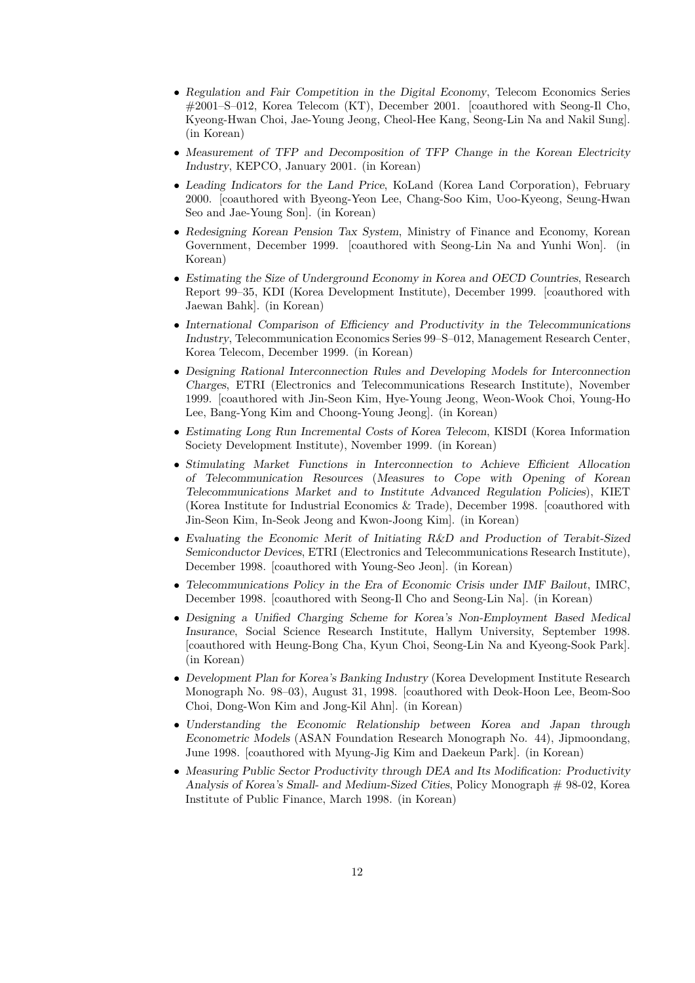- *• Regulation and Fair Competition in the Digital Economy*, Telecom Economics Series #2001–S–012, Korea Telecom (KT), December 2001. [coauthored with Seong-Il Cho, Kyeong-Hwan Choi, Jae-Young Jeong, Cheol-Hee Kang, Seong-Lin Na and Nakil Sung]. (in Korean)
- *• Measurement of TFP and Decomposition of TFP Change in the Korean Electricity Industry*, KEPCO, January 2001. (in Korean)
- *• Leading Indicators for the Land Price*, KoLand (Korea Land Corporation), February 2000. [coauthored with Byeong-Yeon Lee, Chang-Soo Kim, Uoo-Kyeong, Seung-Hwan Seo and Jae-Young Son]. (in Korean)
- *• Redesigning Korean Pension Tax System*, Ministry of Finance and Economy, Korean Government, December 1999. [coauthored with Seong-Lin Na and Yunhi Won]. (in Korean)
- *• Estimating the Size of Underground Economy in Korea and OECD Countries*, Research Report 99–35, KDI (Korea Development Institute), December 1999. [coauthored with Jaewan Bahk]. (in Korean)
- *• International Comparison of Efficiency and Productivity in the Telecommunications Industry*, Telecommunication Economics Series 99–S–012, Management Research Center, Korea Telecom, December 1999. (in Korean)
- *• Designing Rational Interconnection Rules and Developing Models for Interconnection Charges*, ETRI (Electronics and Telecommunications Research Institute), November 1999. [coauthored with Jin-Seon Kim, Hye-Young Jeong, Weon-Wook Choi, Young-Ho Lee, Bang-Yong Kim and Choong-Young Jeong]. (in Korean)
- *• Estimating Long Run Incremental Costs of Korea Telecom*, KISDI (Korea Information Society Development Institute), November 1999. (in Korean)
- *• Stimulating Market Functions in Interconnection to Achieve Efficient Allocation of Telecommunication Resources* (*Measures to Cope with Opening of Korean Telecommunications Market and to Institute Advanced Regulation Policies*), KIET (Korea Institute for Industrial Economics & Trade), December 1998. [coauthored with Jin-Seon Kim, In-Seok Jeong and Kwon-Joong Kim]. (in Korean)
- *• Evaluating the Economic Merit of Initiating R&D and Production of Terabit-Sized Semiconductor Devices*, ETRI (Electronics and Telecommunications Research Institute), December 1998. [coauthored with Young-Seo Jeon]. (in Korean)
- *• Telecommunications Policy in the Era of Economic Crisis under IMF Bailout*, IMRC, December 1998. [coauthored with Seong-Il Cho and Seong-Lin Na]. (in Korean)
- *• Designing a Unified Charging Scheme for Korea's Non-Employment Based Medical Insurance*, Social Science Research Institute, Hallym University, September 1998. [coauthored with Heung-Bong Cha, Kyun Choi, Seong-Lin Na and Kyeong-Sook Park]. (in Korean)
- *• Development Plan for Korea's Banking Industry* (Korea Development Institute Research Monograph No. 98–03), August 31, 1998. [coauthored with Deok-Hoon Lee, Beom-Soo Choi, Dong-Won Kim and Jong-Kil Ahn]. (in Korean)
- *• Understanding the Economic Relationship between Korea and Japan through Econometric Models* (ASAN Foundation Research Monograph No. 44), Jipmoondang, June 1998. [coauthored with Myung-Jig Kim and Daekeun Park]. (in Korean)
- *• Measuring Public Sector Productivity through DEA and Its Modification: Productivity Analysis of Korea's Small- and Medium-Sized Cities*, Policy Monograph # 98-02, Korea Institute of Public Finance, March 1998. (in Korean)